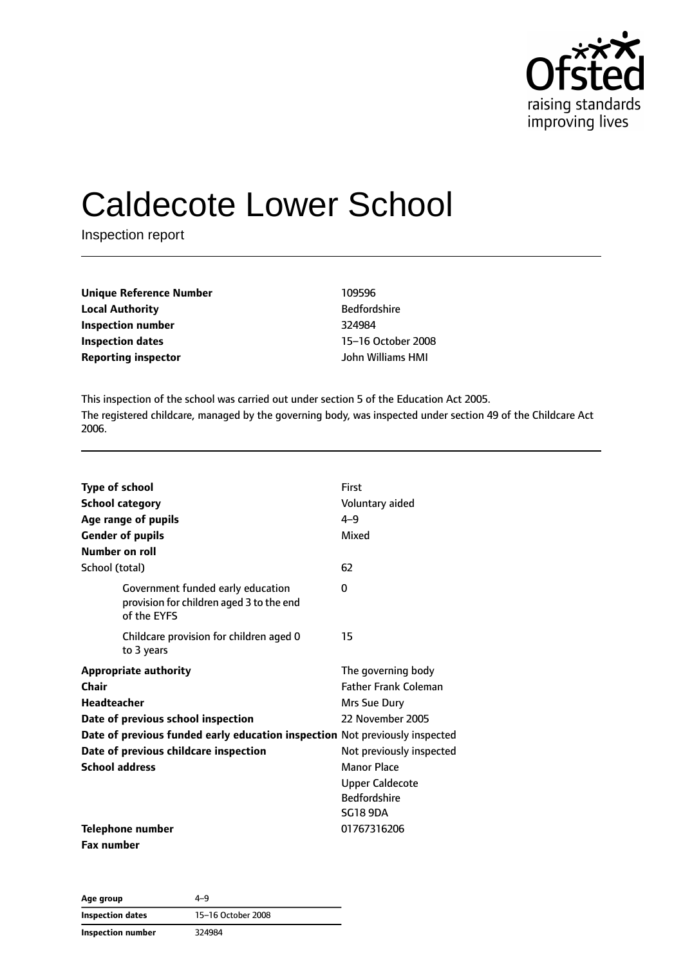

# Caldecote Lower School

Inspection report

| <b>Unique Reference Number</b> | 109596              |
|--------------------------------|---------------------|
| <b>Local Authority</b>         | <b>Bedfordshire</b> |
| Inspection number              | 324984              |
| Inspection dates               | 15-16 October 200   |
| <b>Reporting inspector</b>     | John Williams HMI   |

**Bedfordshire Inspection dates** 15–16 October 2008

This inspection of the school was carried out under section 5 of the Education Act 2005. The registered childcare, managed by the governing body, was inspected under section 49 of the Childcare Act 2006.

| <b>Type of school</b><br><b>School category</b>                                                   | First<br>Voluntary aided                                                                                    |
|---------------------------------------------------------------------------------------------------|-------------------------------------------------------------------------------------------------------------|
| Age range of pupils<br><b>Gender of pupils</b><br><b>Number on roll</b>                           | $4 - 9$<br>Mixed                                                                                            |
| School (total)                                                                                    | 62                                                                                                          |
| Government funded early education<br>provision for children aged 3 to the end<br>of the EYFS      | 0                                                                                                           |
| Childcare provision for children aged 0<br>to 3 years                                             | 15                                                                                                          |
| <b>Appropriate authority</b><br>Chair<br><b>Headteacher</b><br>Date of previous school inspection | The governing body<br><b>Father Frank Coleman</b><br>Mrs Sue Dury<br>22 November 2005                       |
| Date of previous funded early education inspection Not previously inspected                       |                                                                                                             |
| Date of previous childcare inspection<br><b>School address</b>                                    | Not previously inspected<br>Manor Place<br><b>Upper Caldecote</b><br><b>Bedfordshire</b><br><b>SG18 9DA</b> |
| <b>Telephone number</b><br><b>Fax number</b>                                                      | 01767316206                                                                                                 |

**Age group** 4–9 **Inspection dates** 15–16 October 2008 **Inspection number** 324984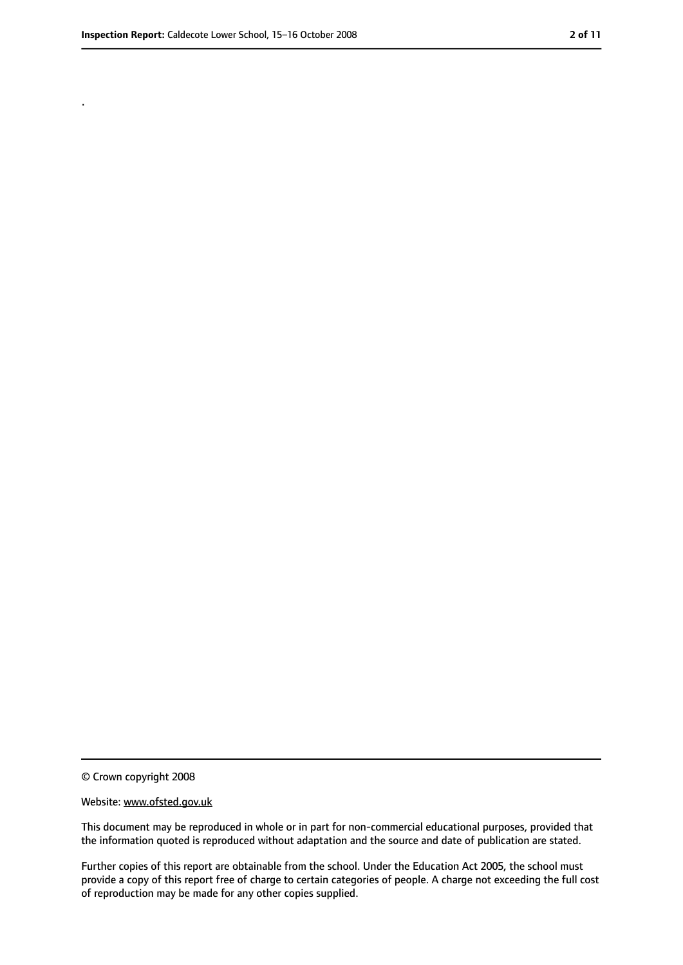.

<sup>©</sup> Crown copyright 2008

Website: www.ofsted.gov.uk

This document may be reproduced in whole or in part for non-commercial educational purposes, provided that the information quoted is reproduced without adaptation and the source and date of publication are stated.

Further copies of this report are obtainable from the school. Under the Education Act 2005, the school must provide a copy of this report free of charge to certain categories of people. A charge not exceeding the full cost of reproduction may be made for any other copies supplied.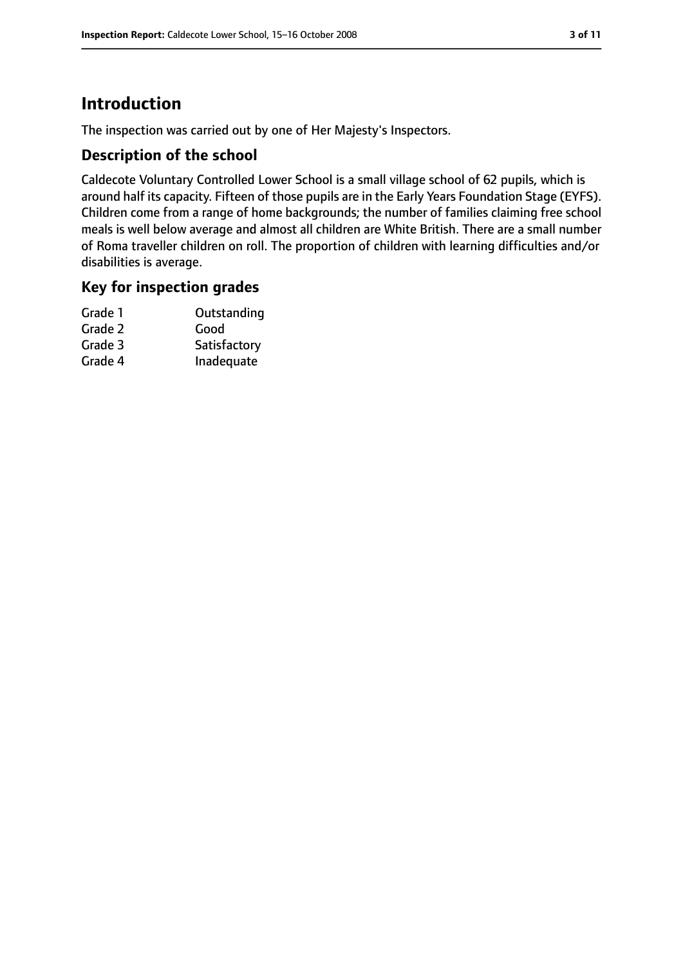# **Introduction**

The inspection was carried out by one of Her Majesty's Inspectors.

## **Description of the school**

Caldecote Voluntary Controlled Lower School is a small village school of 62 pupils, which is around half its capacity. Fifteen of those pupils are in the Early Years Foundation Stage (EYFS). Children come from a range of home backgrounds; the number of families claiming free school meals is well below average and almost all children are White British. There are a small number of Roma traveller children on roll. The proportion of children with learning difficulties and/or disabilities is average.

#### **Key for inspection grades**

| Grade 1 | Outstanding  |
|---------|--------------|
| Grade 2 | Good         |
| Grade 3 | Satisfactory |
| Grade 4 | Inadequate   |
|         |              |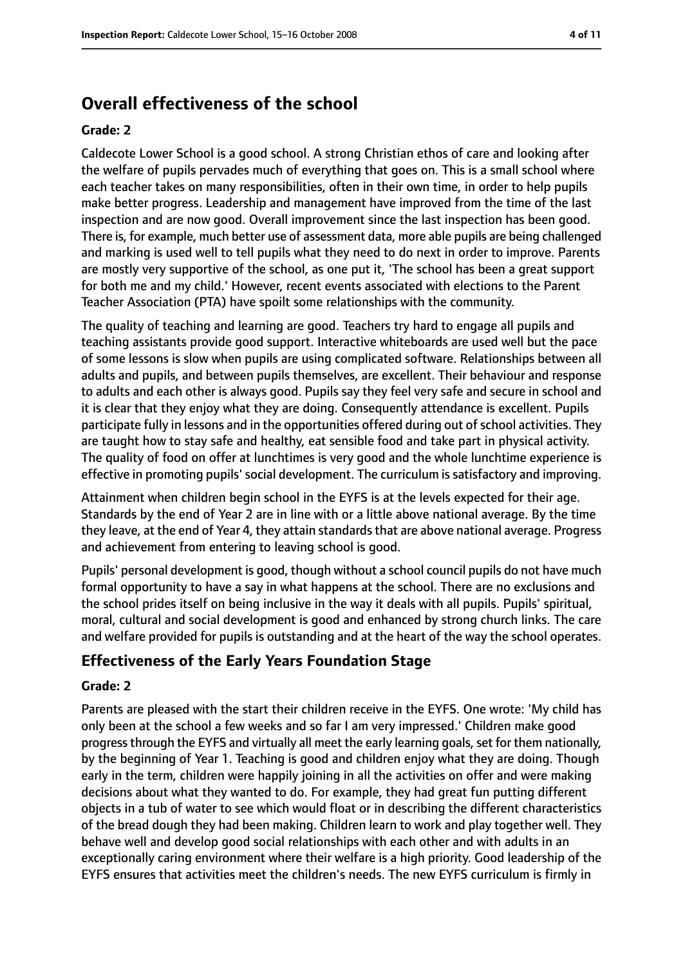# **Overall effectiveness of the school**

#### **Grade: 2**

Caldecote Lower School is a good school. A strong Christian ethos of care and looking after the welfare of pupils pervades much of everything that goes on. This is a small school where each teacher takes on many responsibilities, often in their own time, in order to help pupils make better progress. Leadership and management have improved from the time of the last inspection and are now good. Overall improvement since the last inspection has been good. There is, for example, much better use of assessment data, more able pupils are being challenged and marking is used well to tell pupils what they need to do next in order to improve. Parents are mostly very supportive of the school, as one put it, 'The school has been a great support for both me and my child.' However, recent events associated with elections to the Parent Teacher Association (PTA) have spoilt some relationships with the community.

The quality of teaching and learning are good. Teachers try hard to engage all pupils and teaching assistants provide good support. Interactive whiteboards are used well but the pace of some lessons is slow when pupils are using complicated software. Relationships between all adults and pupils, and between pupils themselves, are excellent. Their behaviour and response to adults and each other is always good. Pupils say they feel very safe and secure in school and it is clear that they enjoy what they are doing. Consequently attendance is excellent. Pupils participate fully in lessons and in the opportunities offered during out of school activities. They are taught how to stay safe and healthy, eat sensible food and take part in physical activity. The quality of food on offer at lunchtimes is very good and the whole lunchtime experience is effective in promoting pupils' social development. The curriculum is satisfactory and improving.

Attainment when children begin school in the EYFS is at the levels expected for their age. Standards by the end of Year 2 are in line with or a little above national average. By the time they leave, at the end of Year 4, they attain standards that are above national average. Progress and achievement from entering to leaving school is good.

Pupils' personal development is good, though without a school council pupils do not have much formal opportunity to have a say in what happens at the school. There are no exclusions and the school prides itself on being inclusive in the way it deals with all pupils. Pupils' spiritual, moral, cultural and social development is good and enhanced by strong church links. The care and welfare provided for pupils is outstanding and at the heart of the way the school operates.

## **Effectiveness of the Early Years Foundation Stage**

#### **Grade: 2**

Parents are pleased with the start their children receive in the EYFS. One wrote: 'My child has only been at the school a few weeks and so far I am very impressed.' Children make good progressthrough the EYFS and virtually all meet the early learning goals,set for them nationally, by the beginning of Year 1. Teaching is good and children enjoy what they are doing. Though early in the term, children were happily joining in all the activities on offer and were making decisions about what they wanted to do. For example, they had great fun putting different objects in a tub of water to see which would float or in describing the different characteristics of the bread dough they had been making. Children learn to work and play together well. They behave well and develop good social relationships with each other and with adults in an exceptionally caring environment where their welfare is a high priority. Good leadership of the EYFS ensures that activities meet the children's needs. The new EYFS curriculum is firmly in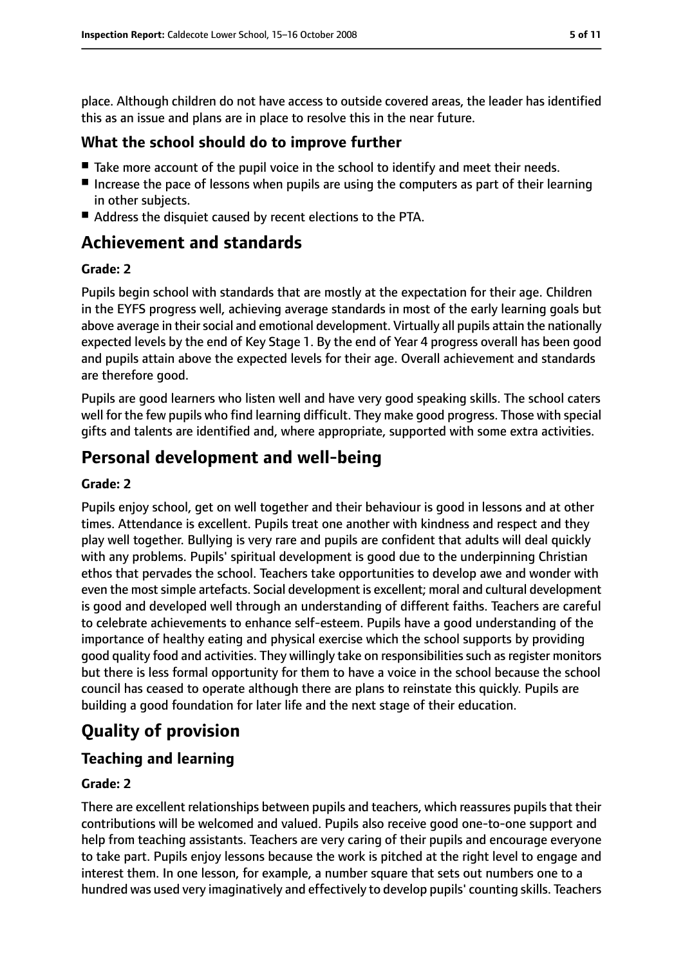place. Although children do not have access to outside covered areas, the leader has identified this as an issue and plans are in place to resolve this in the near future.

#### **What the school should do to improve further**

- Take more account of the pupil voice in the school to identify and meet their needs.
- Increase the pace of lessons when pupils are using the computers as part of their learning in other subjects.
- Address the disquiet caused by recent elections to the PTA.

# **Achievement and standards**

#### **Grade: 2**

Pupils begin school with standards that are mostly at the expectation for their age. Children in the EYFS progress well, achieving average standards in most of the early learning goals but above average in their social and emotional development. Virtually all pupils attain the nationally expected levels by the end of Key Stage 1. By the end of Year 4 progress overall has been good and pupils attain above the expected levels for their age. Overall achievement and standards are therefore good.

Pupils are good learners who listen well and have very good speaking skills. The school caters well for the few pupils who find learning difficult. They make good progress. Those with special gifts and talents are identified and, where appropriate, supported with some extra activities.

# **Personal development and well-being**

#### **Grade: 2**

Pupils enjoy school, get on well together and their behaviour is good in lessons and at other times. Attendance is excellent. Pupils treat one another with kindness and respect and they play well together. Bullying is very rare and pupils are confident that adults will deal quickly with any problems. Pupils' spiritual development is good due to the underpinning Christian ethos that pervades the school. Teachers take opportunities to develop awe and wonder with even the most simple artefacts. Social development is excellent; moral and cultural development is good and developed well through an understanding of different faiths. Teachers are careful to celebrate achievements to enhance self-esteem. Pupils have a good understanding of the importance of healthy eating and physical exercise which the school supports by providing good quality food and activities. They willingly take on responsibilities such as register monitors but there is less formal opportunity for them to have a voice in the school because the school council has ceased to operate although there are plans to reinstate this quickly. Pupils are building a good foundation for later life and the next stage of their education.

# **Quality of provision**

## **Teaching and learning**

#### **Grade: 2**

There are excellent relationships between pupils and teachers, which reassures pupils that their contributions will be welcomed and valued. Pupils also receive good one-to-one support and help from teaching assistants. Teachers are very caring of their pupils and encourage everyone to take part. Pupils enjoy lessons because the work is pitched at the right level to engage and interest them. In one lesson, for example, a number square that sets out numbers one to a hundred was used very imaginatively and effectively to develop pupils' counting skills. Teachers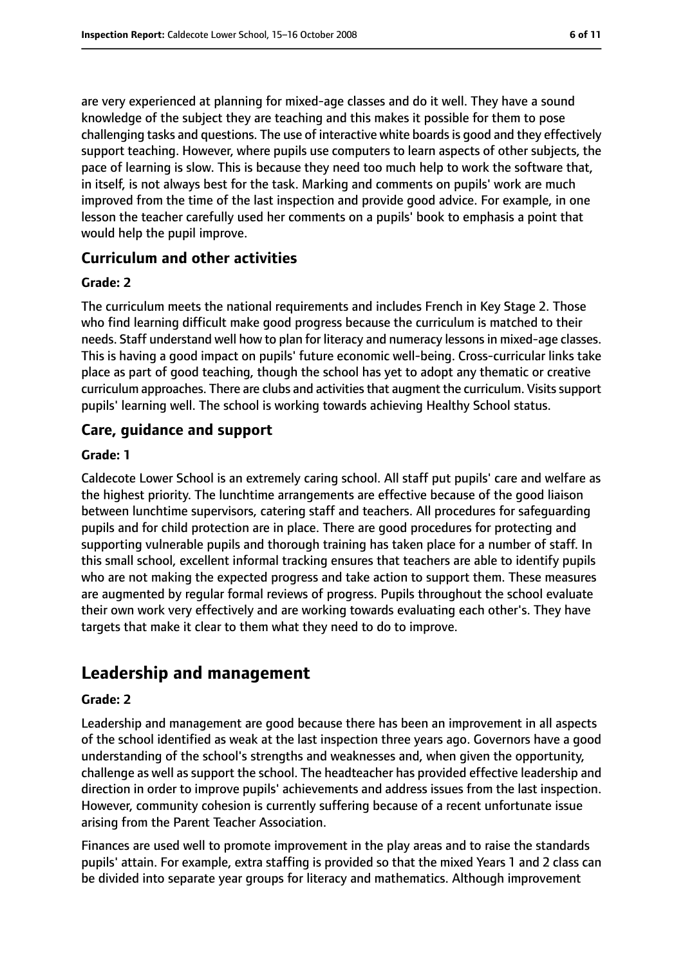are very experienced at planning for mixed-age classes and do it well. They have a sound knowledge of the subject they are teaching and this makes it possible for them to pose challenging tasks and questions. The use of interactive white boardsis good and they effectively support teaching. However, where pupils use computers to learn aspects of other subjects, the pace of learning is slow. This is because they need too much help to work the software that, in itself, is not always best for the task. Marking and comments on pupils' work are much improved from the time of the last inspection and provide good advice. For example, in one lesson the teacher carefully used her comments on a pupils' book to emphasis a point that would help the pupil improve.

## **Curriculum and other activities**

#### **Grade: 2**

The curriculum meets the national requirements and includes French in Key Stage 2. Those who find learning difficult make good progress because the curriculum is matched to their needs. Staff understand well how to plan for literacy and numeracy lessons in mixed-age classes. This is having a good impact on pupils' future economic well-being. Cross-curricular links take place as part of good teaching, though the school has yet to adopt any thematic or creative curriculum approaches. There are clubs and activities that augment the curriculum. Visits support pupils' learning well. The school is working towards achieving Healthy School status.

## **Care, guidance and support**

#### **Grade: 1**

Caldecote Lower School is an extremely caring school. All staff put pupils' care and welfare as the highest priority. The lunchtime arrangements are effective because of the good liaison between lunchtime supervisors, catering staff and teachers. All procedures for safeguarding pupils and for child protection are in place. There are good procedures for protecting and supporting vulnerable pupils and thorough training has taken place for a number of staff. In this small school, excellent informal tracking ensures that teachers are able to identify pupils who are not making the expected progress and take action to support them. These measures are augmented by regular formal reviews of progress. Pupils throughout the school evaluate their own work very effectively and are working towards evaluating each other's. They have targets that make it clear to them what they need to do to improve.

# **Leadership and management**

#### **Grade: 2**

Leadership and management are good because there has been an improvement in all aspects of the school identified as weak at the last inspection three years ago. Governors have a good understanding of the school's strengths and weaknesses and, when given the opportunity, challenge as well as support the school. The headteacher has provided effective leadership and direction in order to improve pupils' achievements and address issues from the last inspection. However, community cohesion is currently suffering because of a recent unfortunate issue arising from the Parent Teacher Association.

Finances are used well to promote improvement in the play areas and to raise the standards pupils' attain. For example, extra staffing is provided so that the mixed Years 1 and 2 class can be divided into separate year groups for literacy and mathematics. Although improvement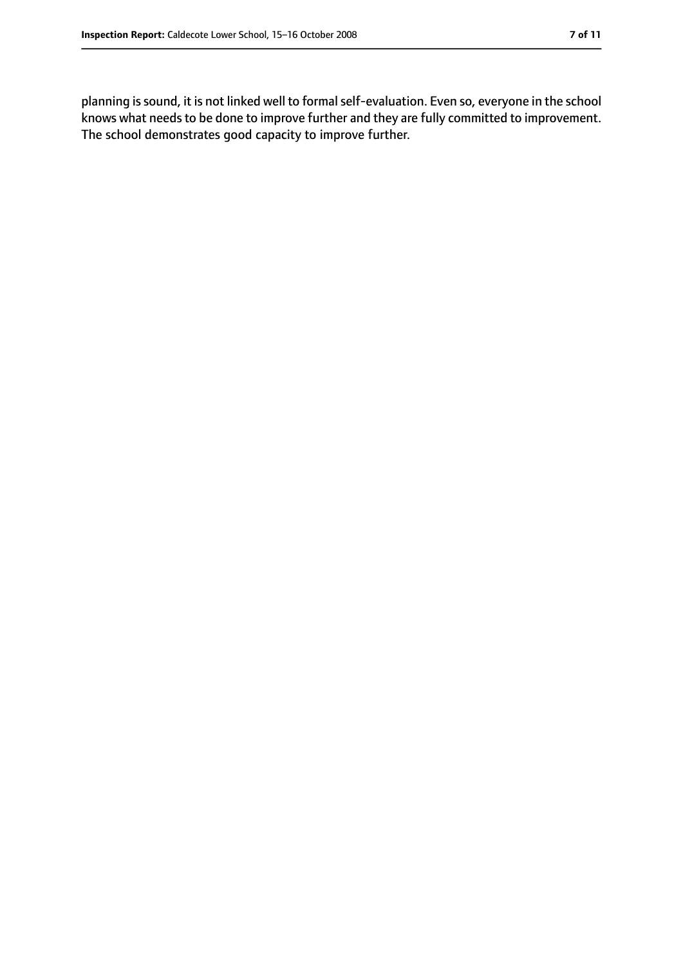planning is sound, it is not linked well to formal self-evaluation. Even so, everyone in the school knows what needs to be done to improve further and they are fully committed to improvement. The school demonstrates good capacity to improve further.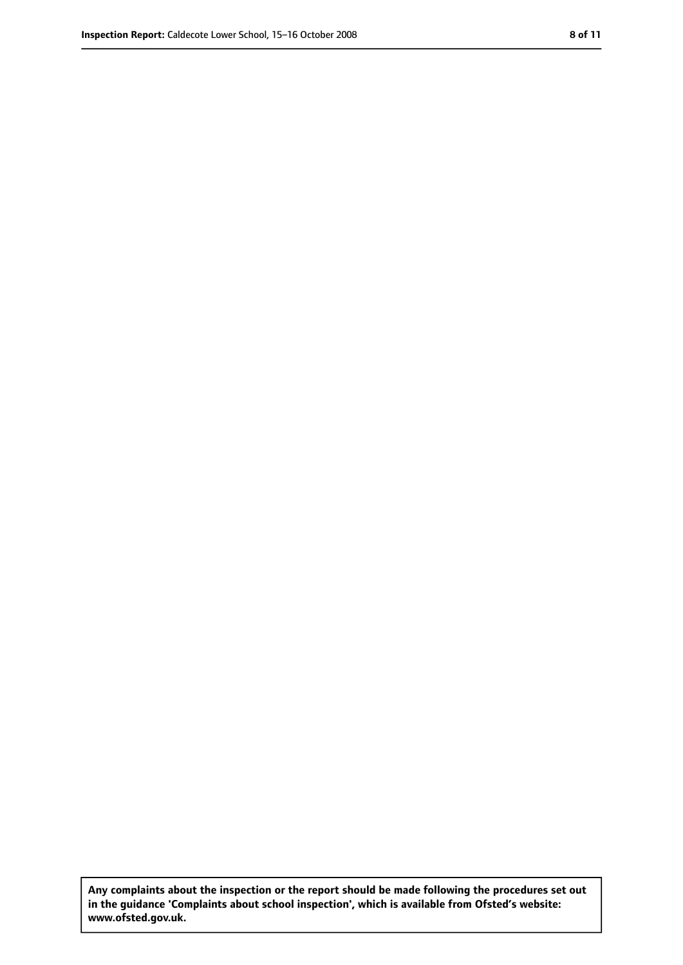**Any complaints about the inspection or the report should be made following the procedures set out in the guidance 'Complaints about school inspection', which is available from Ofsted's website: www.ofsted.gov.uk.**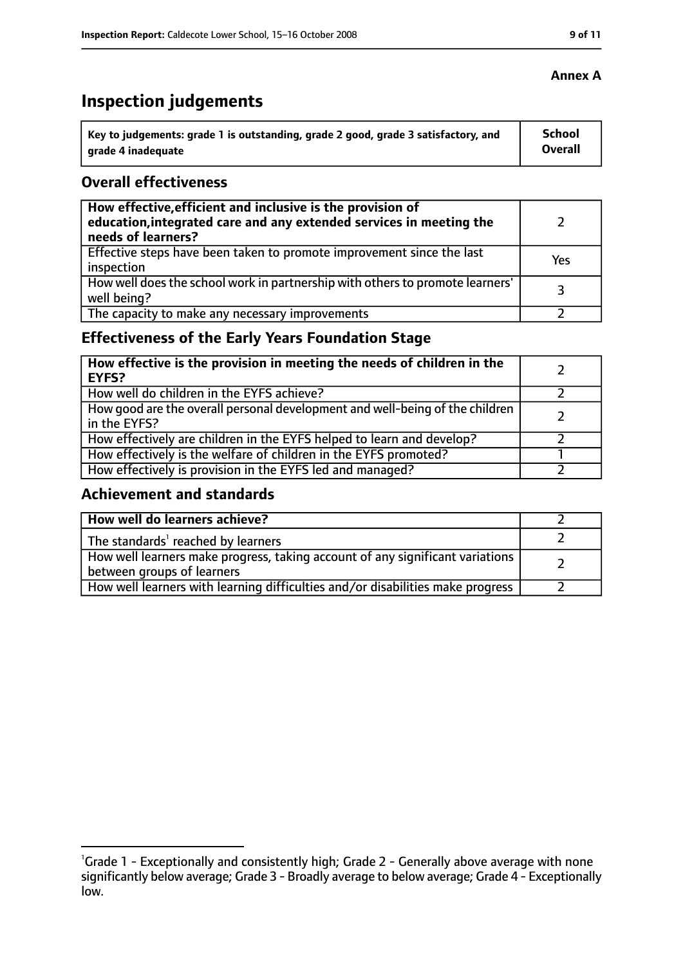# **Inspection judgements**

| \ Key to judgements: grade 1 is outstanding, grade 2 good, grade 3 satisfactory, and | <b>School</b>  |
|--------------------------------------------------------------------------------------|----------------|
| arade 4 inadequate                                                                   | <b>Overall</b> |

## **Overall effectiveness**

| How effective, efficient and inclusive is the provision of<br>education, integrated care and any extended services in meeting the<br>needs of learners? |     |
|---------------------------------------------------------------------------------------------------------------------------------------------------------|-----|
| Effective steps have been taken to promote improvement since the last<br>inspection                                                                     | Yes |
| How well does the school work in partnership with others to promote learners'<br>well being?                                                            | २   |
| The capacity to make any necessary improvements                                                                                                         |     |

# **Effectiveness of the Early Years Foundation Stage**

| How effective is the provision in meeting the needs of children in the<br><b>EYFS?</b>       |  |
|----------------------------------------------------------------------------------------------|--|
| How well do children in the EYFS achieve?                                                    |  |
| How good are the overall personal development and well-being of the children<br>in the EYFS? |  |
| How effectively are children in the EYFS helped to learn and develop?                        |  |
| How effectively is the welfare of children in the EYFS promoted?                             |  |
| How effectively is provision in the EYFS led and managed?                                    |  |

#### **Achievement and standards**

| How well do learners achieve?                                                                               |  |
|-------------------------------------------------------------------------------------------------------------|--|
| The standards <sup>1</sup> reached by learners                                                              |  |
| How well learners make progress, taking account of any significant variations<br>between groups of learners |  |
| How well learners with learning difficulties and/or disabilities make progress                              |  |

#### **Annex A**

<sup>&</sup>lt;sup>1</sup>Grade 1 - Exceptionally and consistently high; Grade 2 - Generally above average with none significantly below average; Grade 3 - Broadly average to below average; Grade 4 - Exceptionally low.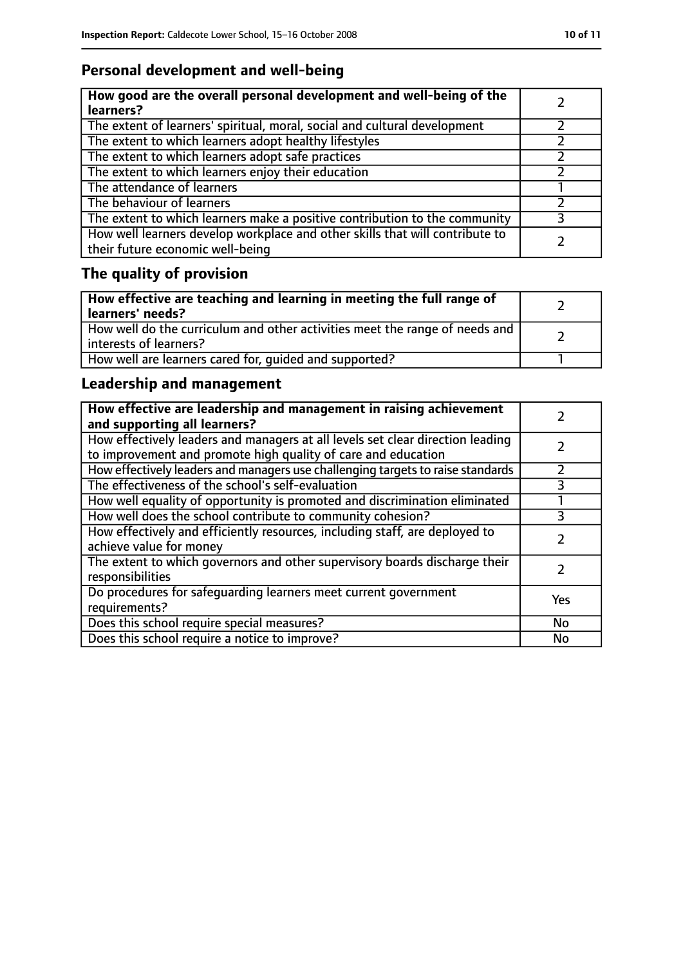# **Personal development and well-being**

| How good are the overall personal development and well-being of the<br>learners?                                 |  |
|------------------------------------------------------------------------------------------------------------------|--|
| The extent of learners' spiritual, moral, social and cultural development                                        |  |
| The extent to which learners adopt healthy lifestyles                                                            |  |
| The extent to which learners adopt safe practices                                                                |  |
| The extent to which learners enjoy their education                                                               |  |
| The attendance of learners                                                                                       |  |
| The behaviour of learners                                                                                        |  |
| The extent to which learners make a positive contribution to the community                                       |  |
| How well learners develop workplace and other skills that will contribute to<br>their future economic well-being |  |

# **The quality of provision**

| How effective are teaching and learning in meeting the full range of<br>learners' needs?              |  |
|-------------------------------------------------------------------------------------------------------|--|
| How well do the curriculum and other activities meet the range of needs and<br>interests of learners? |  |
| How well are learners cared for, quided and supported?                                                |  |

# **Leadership and management**

| How effective are leadership and management in raising achievement<br>and supporting all learners?                                              |     |
|-------------------------------------------------------------------------------------------------------------------------------------------------|-----|
| How effectively leaders and managers at all levels set clear direction leading<br>to improvement and promote high quality of care and education |     |
| How effectively leaders and managers use challenging targets to raise standards                                                                 |     |
| The effectiveness of the school's self-evaluation                                                                                               |     |
| How well equality of opportunity is promoted and discrimination eliminated                                                                      |     |
| How well does the school contribute to community cohesion?                                                                                      | 3   |
| How effectively and efficiently resources, including staff, are deployed to<br>achieve value for money                                          |     |
| The extent to which governors and other supervisory boards discharge their<br>responsibilities                                                  |     |
| Do procedures for safeguarding learners meet current government<br>requirements?                                                                | Yes |
| Does this school require special measures?                                                                                                      | No  |
| Does this school require a notice to improve?                                                                                                   | No  |